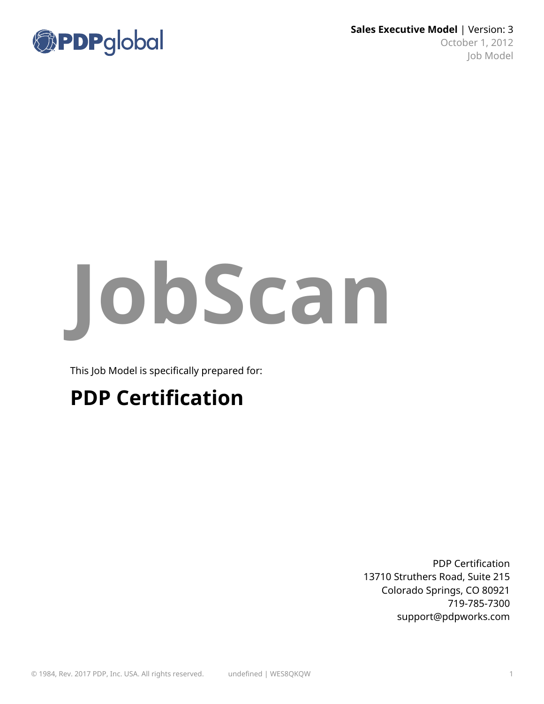

**Sales Executive Model** | Version: 3 October 1, 2012 Job Model

# **JobScan**

This Job Model is specifically prepared for:

## **PDP Certification**

PDP Certification 13710 Struthers Road, Suite 215 Colorado Springs, CO 80921 719-785-7300 support@pdpworks.com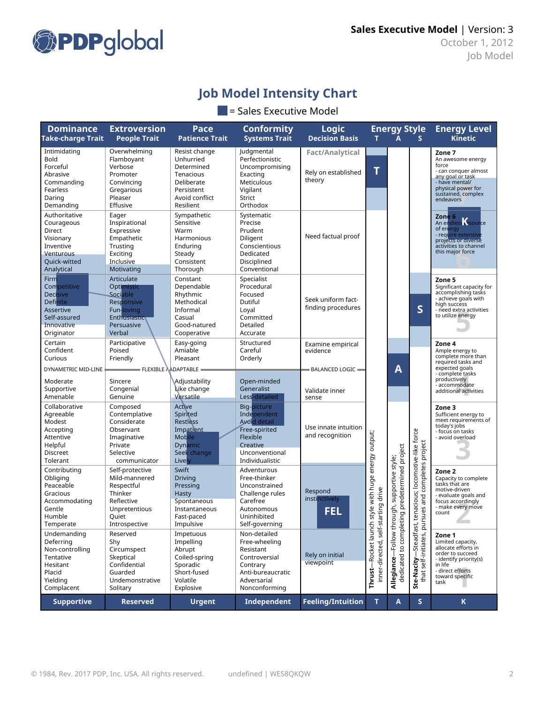

## **Job Model Intensity Chart**

#### $\blacksquare$  = Sales Executive Model

| <b>Dominance</b><br><b>Take-charge Trait</b>                                                                              | <b>Extroversion</b><br><b>People Trait</b>                                                                         | Pace<br><b>Patience Trait</b>                                                                                    | <b>Conformity</b><br><b>Systems Trait</b>                                                                                       | <b>Logic</b><br><b>Decision Basis</b>                                               | T.                                                 | <b>Energy Style</b><br>A                                          | S                                                               | <b>Energy Level</b><br><b>Kinetic</b>                                                                                                                                 |
|---------------------------------------------------------------------------------------------------------------------------|--------------------------------------------------------------------------------------------------------------------|------------------------------------------------------------------------------------------------------------------|---------------------------------------------------------------------------------------------------------------------------------|-------------------------------------------------------------------------------------|----------------------------------------------------|-------------------------------------------------------------------|-----------------------------------------------------------------|-----------------------------------------------------------------------------------------------------------------------------------------------------------------------|
| Intimidating<br>Bold<br>Forceful<br>Abrasive<br>Commanding<br>Fearless<br>Daring<br>Demanding                             | Overwhelming<br>Flamboyant<br>Verbose<br>Promoter<br>Convincing<br>Gregarious<br>Pleaser<br>Effusive               | Resist change<br>Unhurried<br>Determined<br>Tenacious<br>Deliberate<br>Persistent<br>Avoid conflict<br>Resilient | Judgmental<br>Perfectionistic<br>Uncompromising<br>Exacting<br>Meticulous<br>Vigilant<br><b>Strict</b><br>Orthodox              | <b>Fact/Analytical</b><br>Rely on established<br>theory                             | T                                                  |                                                                   |                                                                 | Zone 7<br>An awesome energy<br>force<br>- can conquer almost<br>any goal or task<br>- have mental/<br>physical power for<br>sustained, complex<br>endeavors           |
| Authoritative<br>Courageous<br>Direct<br>Visionary<br>Inventive<br><b>Venturous</b><br>Quick-witted<br>Analytical         | Eager<br>Inspirational<br>Expressive<br>Empathetic<br>Trusting<br>Exciting<br>Inclusive<br>Motivating              | Sympathetic<br>Sensitive<br>Warm<br>Harmonious<br>Enduring<br>Steady<br>Consistent<br>Thorough                   | Systematic<br>Precise<br>Prudent<br>Diligent<br>Conscientious<br>Dedicated<br>Disciplined<br>Conventional                       | Need factual proof                                                                  |                                                    |                                                                   |                                                                 | Zone 6<br>An endless Source<br>of energy<br>- require extensive<br>projects or diverse<br>activities to channel<br>this major force                                   |
| Firm<br>Competitive<br><b>Decisive</b><br><b>Definite</b><br><b>Assertive</b><br>Self-assured<br>Innovative<br>Originator | Articulate<br>Optimistic<br>Sociable<br>Responsive<br>Fun-loving<br>Enthusiastic<br>Persuasive<br>Verbal           | Constant<br>Dependable<br>Rhythmic<br>Methodical<br>Informal<br>Casual<br>Good-natured<br>Cooperative            | Specialist<br>Procedural<br>Focused<br>Dutiful<br>Loyal<br>Committed<br>Detailed<br>Accurate                                    | Seek uniform fact-<br>finding procedures                                            |                                                    |                                                                   | S                                                               | Zone 5<br>Significant capacity for<br>accomplishing tasks<br>- achieve goals with<br>high success<br>- need extra activities<br>to utilize energy                     |
| Certain<br>Confident<br>Curious<br>DYNAMETRIC MID-LINE<br>Moderate<br>Supportive<br>Amenable                              | Participative<br>Poised<br>Friendly<br>$=$ FLEXIBLE $\lambda$ ADAPTABLE<br>Sincere<br>Congenial<br>Genuine         | Easy-going<br>Amiable<br>Pleasant<br>Adjustability<br>Like change<br>Versatile                                   | Structured<br>Careful<br>Orderly<br>Open-minded<br>Generalist<br>Less-detailed                                                  | Examine empirical<br>evidence<br><b>BALANCED LOGIC -</b><br>Validate inner<br>sense |                                                    | A                                                                 |                                                                 | Zone 4<br>Ample energy to<br>complete more than<br>required tasks and<br>expected goals<br>- complete tasks<br>productively<br>- accommodate<br>additional activities |
| Collaborative<br>Agreeable<br>Modest<br>Accepting<br>Attentive<br>Helpful<br><b>Discreet</b><br>Tolerant                  | Composed<br>Contemplative<br>Considerate<br>Observant<br>Imaginative<br>Private<br>Selective<br>communicator       | Active<br>Spirited<br><b>Restless</b><br>Impatient<br>Mobile<br><b>Dynamic</b><br>Seek change<br>Lively          | Big-picture<br>Independent<br><b>Avoid detail</b><br>Free-spirited<br>Flexible<br>Creative<br>Unconventional<br>Individualistic | Use innate intuition<br>and recognition                                             |                                                    | style;                                                            |                                                                 | Zone 3<br>Sufficient energy to<br>meet requirements of<br>today's jobs<br>- focus on tasks<br>- avoid overload                                                        |
| Contributing<br>Obliging<br>Peaceable<br>Gracious<br>Accommodating<br>Gentle<br>Humble<br>Temperate                       | Self-protective<br>Mild-mannered<br>Respectful<br>Thinker<br>Reflective<br>Unpretentious<br>Quiet<br>Introspective | Swift<br><b>Driving</b><br>Pressing<br>Hasty<br>Spontaneous<br>Instantaneous<br>Fast-paced<br>Impulsive          | Adventurous<br>Free-thinker<br>Unconstrained<br>Challenge rules<br>Carefree<br>Autonomous<br>Uninhibited<br>Self-governing      | Respond<br>instinctively<br>FEL                                                     | style with huge energy output;<br>drive<br>tarting | dedicated to completing predetermined project<br>ough, supportive | tenacious; locomotive-like force<br>rsues and completes project | Zone 2<br>Capacity to complete<br>tasks that are<br>motive-driven<br>- evaluate goals and<br>focus accordingly<br>- make every move<br>count                          |
| Undemanding<br>Deferrina<br>Non-controlling<br>Tentative<br>Hesitant<br>Placid<br>Yielding<br>Complacent                  | Reserved<br>Shy<br>Circumspect<br>Skeptical<br>Confidential<br>Guarded<br>Undemonstrative<br>Solitary              | Impetuous<br>Impelling<br>Abrupt<br>Coiled-spring<br>Sporadic<br>Short-fused<br>Volatile<br>Explosive            | Non-detailed<br>Free-wheeling<br>Resistant<br>Controversial<br>Contrary<br>Anti-bureaucratic<br>Adversarial<br>Nonconforming    | Rely on initial<br>viewpoint                                                        | Thrust-Rocket launch<br>self-st<br>inner-directed, | Follow th<br>Allegiance-                                          | <b>Ste-Nacity</b> —Steadfast,<br>that self-initiates, pu        | Zone 1<br>Limited capacity,<br>allocate efforts in<br>order to succeed<br>- identify priority(s)<br>in life<br>- direct efforts<br>toward specific<br>task            |
| <b>Supportive</b>                                                                                                         | <b>Reserved</b>                                                                                                    | <b>Urgent</b>                                                                                                    | Independent                                                                                                                     | <b>Feeling/Intuition</b>                                                            | T.                                                 | A                                                                 | S                                                               | $\mathbf K$                                                                                                                                                           |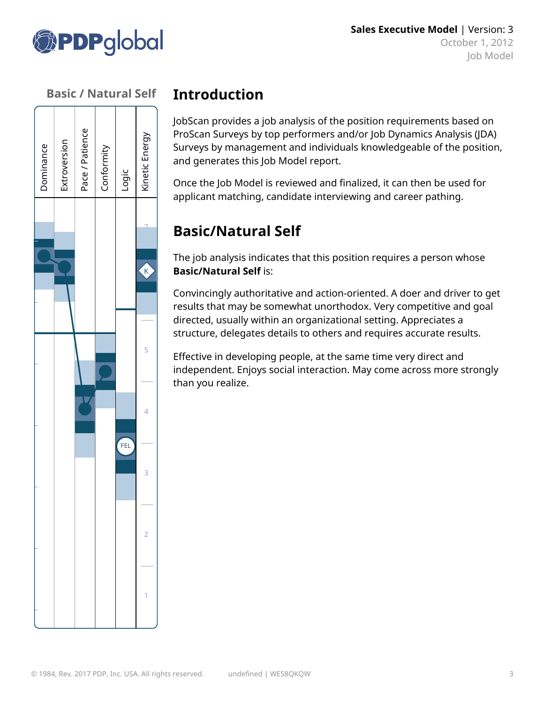



## **Introduction**

JobScan provides a job analysis of the position requirements based on ProScan Surveys by top performers and/or Job Dynamics Analysis (JDA) Surveys by management and individuals knowledgeable of the position, and generates this Job Model report.

Once the Job Model is reviewed and finalized, it can then be used for applicant matching, candidate interviewing and career pathing.

## **Basic/Natural Self**

The job analysis indicates that this position requires a person whose **Basic/Natural Self** is:

Convincingly authoritative and action-oriented. A doer and driver to get results that may be somewhat unorthodox. Very competitive and goal directed, usually within an organizational setting. Appreciates a structure, delegates details to others and requires accurate results.

Effective in developing people, at the same time very direct and independent. Enjoys social interaction. May come across more strongly than you realize.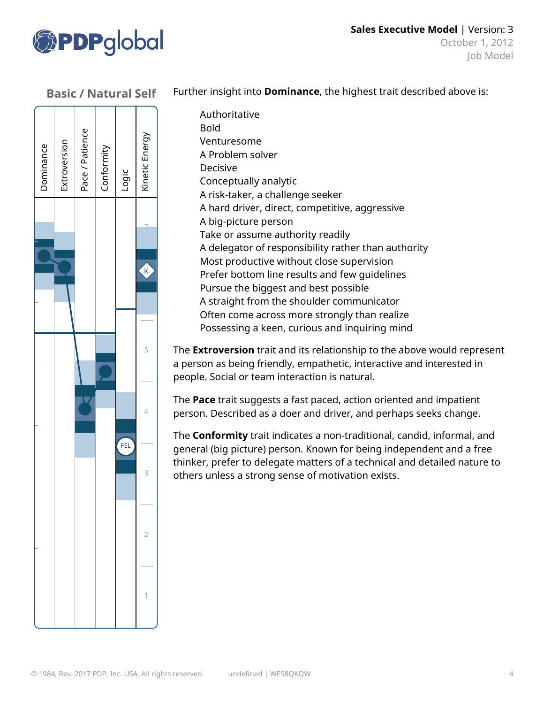





Authoritative Bold Venturesome A Problem solver Decisive Conceptually analytic A risk-taker, a challenge seeker A hard driver, direct, competitive, aggressive A big-picture person Take or assume authority readily A delegator of responsibility rather than authority Most productive without close supervision Prefer bottom line results and few guidelines Pursue the biggest and best possible A straight from the shoulder communicator Often come across more strongly than realize Possessing a keen, curious and inquiring mind

The **Extroversion** trait and its relationship to the above would represent a person as being friendly, empathetic, interactive and interested in people. Social or team interaction is natural.

The **Pace** trait suggests a fast paced, action oriented and impatient person. Described as a doer and driver, and perhaps seeks change.

The **Conformity** trait indicates a non-traditional, candid, informal, and general (big picture) person. Known for being independent and a free thinker, prefer to delegate matters of a technical and detailed nature to others unless a strong sense of motivation exists.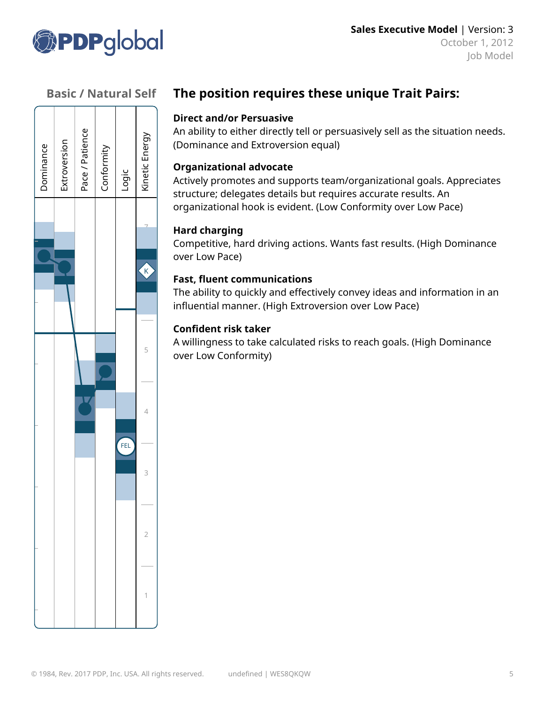



## **The position requires these unique Trait Pairs:**

#### **Direct and/or Persuasive**

An ability to either directly tell or persuasively sell as the situation needs. (Dominance and Extroversion equal)

#### **Organizational advocate**

Actively promotes and supports team/organizational goals. Appreciates structure; delegates details but requires accurate results. An organizational hook is evident. (Low Conformity over Low Pace)

#### **Hard charging**

Competitive, hard driving actions. Wants fast results. (High Dominance over Low Pace)

#### **Fast, fluent communications**

The ability to quickly and effectively convey ideas and information in an influential manner. (High Extroversion over Low Pace)

#### **Confident risk taker**

A willingness to take calculated risks to reach goals. (High Dominance over Low Conformity)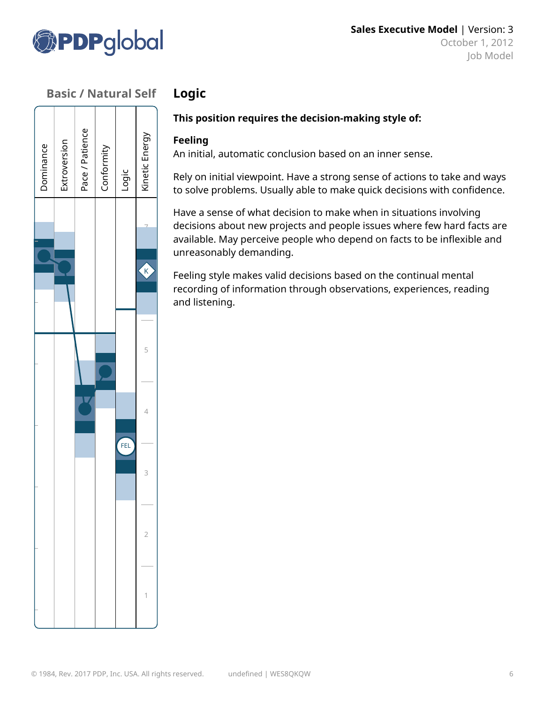

 $\overline{\phantom{0}}$ 

 $\overline{\phantom{0}}$ 

| Dominance | Extroversion | Pace / Patience | Conformity | Logic | Kinetic Energy               |
|-----------|--------------|-----------------|------------|-------|------------------------------|
|           |              |                 |            |       |                              |
|           |              |                 |            |       | $\left($ $\mathbf{K}\right)$ |
|           |              |                 |            |       |                              |
|           |              |                 |            |       | 5                            |
|           |              |                 |            |       | 4                            |
|           |              |                 |            | FEL   | 3                            |
|           |              |                 |            |       |                              |
|           |              |                 |            |       | $\overline{2}$               |
|           |              |                 |            |       | 1                            |

## **Logic**

#### **This position requires the decision-making style of:**

#### **Feeling**

An initial, automatic conclusion based on an inner sense.

Rely on initial viewpoint. Have a strong sense of actions to take and ways to solve problems. Usually able to make quick decisions with confidence.

Have a sense of what decision to make when in situations involving decisions about new projects and people issues where few hard facts are available. May perceive people who depend on facts to be inflexible and unreasonably demanding.

Feeling style makes valid decisions based on the continual mental recording of information through observations, experiences, reading and listening.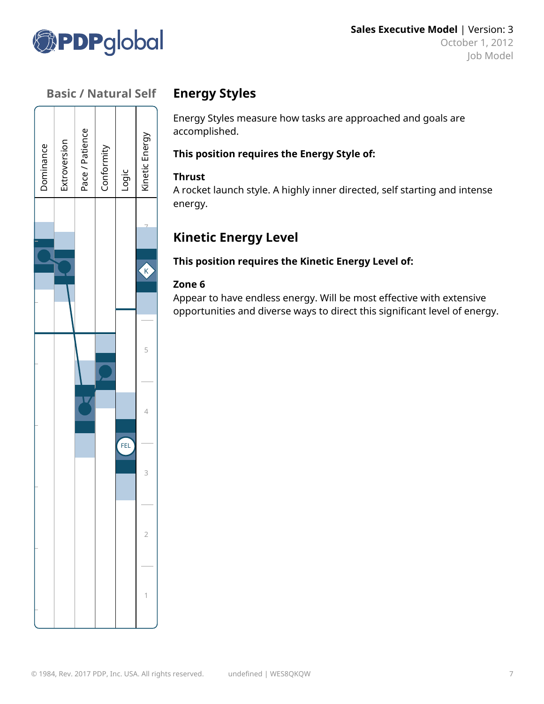

#### **Basic / Natural Self**  $\sqrt{1+1+1}$

| Dominance | Extroversion | Pace / Patience | Conformity | Logic | Kinetic Energy |
|-----------|--------------|-----------------|------------|-------|----------------|
|           |              |                 |            |       |                |
|           |              |                 |            |       |                |
|           |              |                 |            |       | $\overline{K}$ |
|           |              |                 |            |       |                |
|           |              |                 |            |       |                |
|           |              |                 |            |       | 5              |
|           |              |                 |            |       |                |
|           |              | Y               |            |       | 4              |
|           |              |                 |            | FEL   |                |
|           |              |                 |            |       | 3              |
|           |              |                 |            |       |                |
|           |              |                 |            |       | 2              |
|           |              |                 |            |       |                |
|           |              |                 |            |       |                |
|           |              |                 |            |       | 1              |

### **Energy Styles**

Energy Styles measure how tasks are approached and goals are accomplished.

#### **This position requires the Energy Style of:**

#### **Thrust**

A rocket launch style. A highly inner directed, self starting and intense energy.

## **Kinetic Energy Level**

**This position requires the Kinetic Energy Level of:**

#### **Zone 6**

Appear to have endless energy. Will be most effective with extensive opportunities and diverse ways to direct this significant level of energy.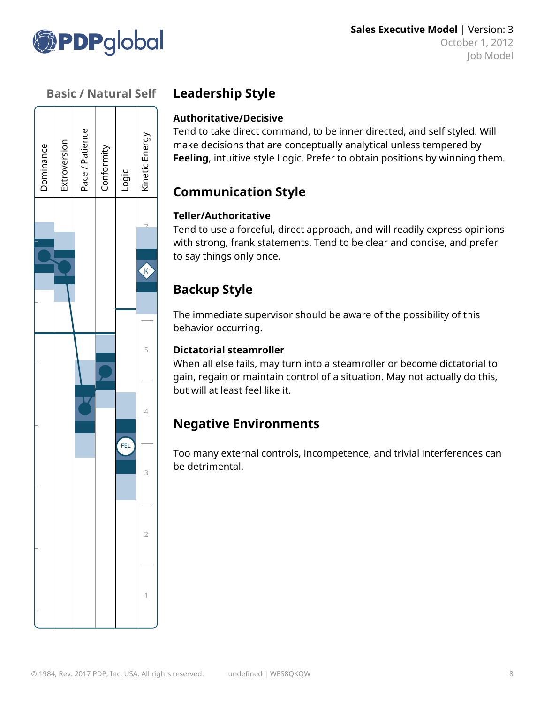



## **Leadership Style**

#### **Authoritative/Decisive**

Tend to take direct command, to be inner directed, and self styled. Will make decisions that are conceptually analytical unless tempered by **Feeling**, intuitive style Logic. Prefer to obtain positions by winning them.

## **Communication Style**

#### **Teller/Authoritative**

Tend to use a forceful, direct approach, and will readily express opinions with strong, frank statements. Tend to be clear and concise, and prefer to say things only once.

## **Backup Style**

The immediate supervisor should be aware of the possibility of this behavior occurring.

#### **Dictatorial steamroller**

When all else fails, may turn into a steamroller or become dictatorial to gain, regain or maintain control of a situation. May not actually do this, but will at least feel like it.

## **Negative Environments**

Too many external controls, incompetence, and trivial interferences can be detrimental.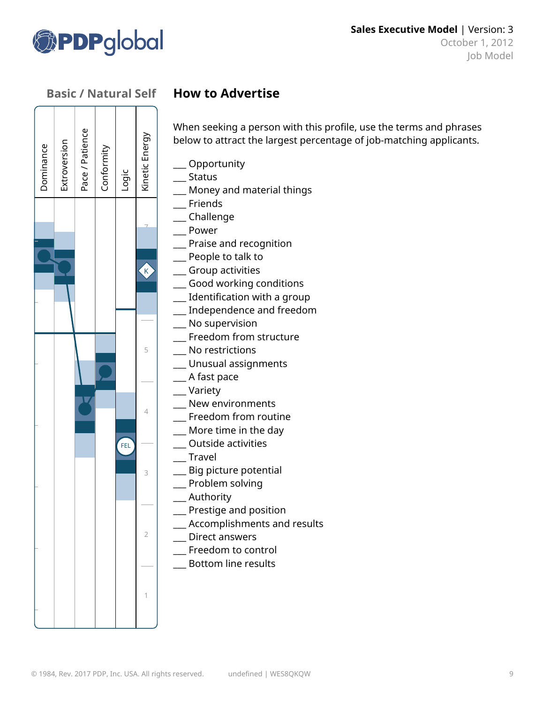

# 7 5 4 3 2 1 FEL Dominance Extro v ersio nPace / Patie e<br>C Conformity Lo ់<br>ច Kin etic En erg y $K$

## **How to Advertise**

When seeking a person with this profile, use the terms and phrases below to attract the largest percentage of job-matching applicants.

\_\_\_ Opportunity

\_\_\_ Status

- \_\_\_ Money and material things
- \_\_\_ Friends
- \_\_\_ Challenge
- \_\_\_ Power
- \_\_\_ Praise and recognition
- \_\_\_ People to talk to
- \_\_\_ Group activities
- \_\_\_ Good working conditions
- \_\_\_ Identification with a group
- \_\_\_ Independence and freedom
- \_\_\_ No supervision
- \_\_\_ Freedom from structure
- \_\_\_ No restrictions
- \_\_\_ Unusual assignments
- \_\_\_ A fast pace
- \_\_\_ Variety
- \_\_\_ New environments
- \_\_\_ Freedom from routine
- \_\_\_ More time in the day
- \_\_\_ Outside activities
- \_\_\_ Travel
- \_\_\_ Big picture potential
- \_\_\_ Problem solving
- \_\_\_ Authority
- \_\_\_ Prestige and position
- \_\_\_ Accomplishments and results
- \_\_\_ Direct answers
	- \_\_\_ Freedom to control
	- \_\_\_ Bottom line results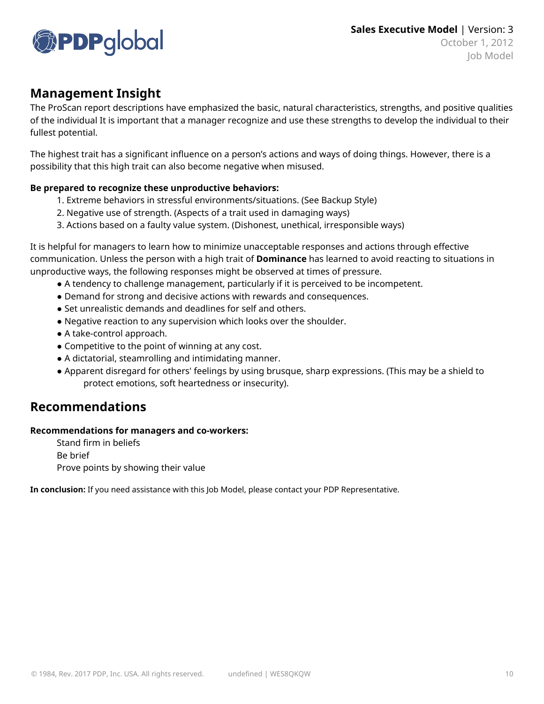

#### **Management Insight**

The ProScan report descriptions have emphasized the basic, natural characteristics, strengths, and positive qualities of the individual It is important that a manager recognize and use these strengths to develop the individual to their fullest potential.

The highest trait has a significant influence on a person's actions and ways of doing things. However, there is a possibility that this high trait can also become negative when misused.

#### **Be prepared to recognize these unproductive behaviors:**

- 1. Extreme behaviors in stressful environments/situations. (See Backup Style)
- 2. Negative use of strength. (Aspects of a trait used in damaging ways)
- 3. Actions based on a faulty value system. (Dishonest, unethical, irresponsible ways)

It is helpful for managers to learn how to minimize unacceptable responses and actions through effective communication. Unless the person with a high trait of **Dominance** has learned to avoid reacting to situations in unproductive ways, the following responses might be observed at times of pressure.

- A tendency to challenge management, particularly if it is perceived to be incompetent.
- Demand for strong and decisive actions with rewards and consequences.
- Set unrealistic demands and deadlines for self and others.
- Negative reaction to any supervision which looks over the shoulder.
- A take-control approach.
- Competitive to the point of winning at any cost.
- A dictatorial, steamrolling and intimidating manner.
- Apparent disregard for others' feelings by using brusque, sharp expressions. (This may be a shield to protect emotions, soft heartedness or insecurity).

#### **Recommendations**

#### **Recommendations for managers and co-workers:**

Stand firm in beliefs Be brief Prove points by showing their value

**In conclusion:** If you need assistance with this Job Model, please contact your PDP Representative.